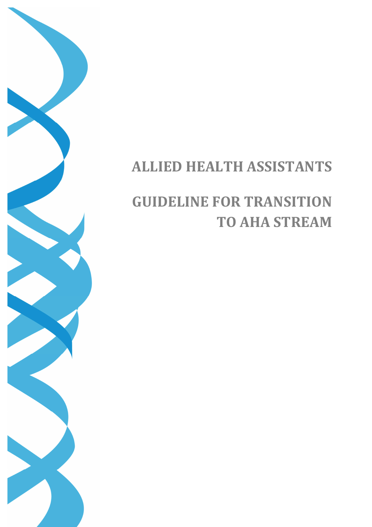# **ALLIED HEALTH ASSISTANTS**

# **GUIDELINE FOR TRANSITION TO AHA STREAM**

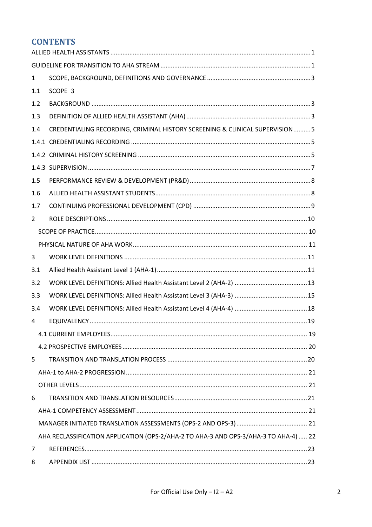# **CONTENTS**

| $\mathbf{1}$   |                                                                                      |  |
|----------------|--------------------------------------------------------------------------------------|--|
| 1.1            | SCOPE 3                                                                              |  |
| 1.2            |                                                                                      |  |
| 1.3            |                                                                                      |  |
| 1.4            | CREDENTIALING RECORDING, CRIMINAL HISTORY SCREENING & CLINICAL SUPERVISION5          |  |
|                |                                                                                      |  |
|                |                                                                                      |  |
|                |                                                                                      |  |
| 1.5            |                                                                                      |  |
| 1.6            |                                                                                      |  |
| 1.7            |                                                                                      |  |
| $\overline{2}$ |                                                                                      |  |
|                |                                                                                      |  |
|                |                                                                                      |  |
| 3              |                                                                                      |  |
| 3.1            |                                                                                      |  |
| 3.2            |                                                                                      |  |
| 3.3            |                                                                                      |  |
| 3.4            |                                                                                      |  |
| 4              |                                                                                      |  |
|                |                                                                                      |  |
|                |                                                                                      |  |
| 5              |                                                                                      |  |
|                |                                                                                      |  |
|                |                                                                                      |  |
| 6              |                                                                                      |  |
|                |                                                                                      |  |
|                |                                                                                      |  |
|                | AHA RECLASSIFICATION APPLICATION (OPS-2/AHA-2 TO AHA-3 AND OPS-3/AHA-3 TO AHA-4)  22 |  |
| 7              |                                                                                      |  |
| 8              |                                                                                      |  |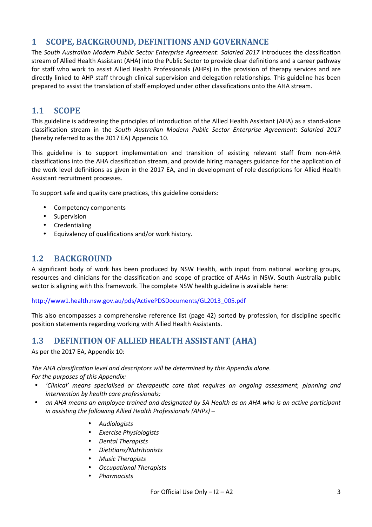# **1 SCOPE, BACKGROUND, DEFINITIONS AND GOVERNANCE**

The *South Australian Modern Public Sector Enterprise Agreement*: *Salaried 2017* introduces the classification stream of Allied Health Assistant (AHA) into the Public Sector to provide clear definitions and a career pathway for staff who work to assist Allied Health Professionals (AHPs) in the provision of therapy services and are directly linked to AHP staff through clinical supervision and delegation relationships. This guideline has been prepared to assist the translation of staff employed under other classifications onto the AHA stream.

# **1.1 SCOPE**

This guideline is addressing the principles of introduction of the Allied Health Assistant (AHA) as a stand-alone classification stream in the *South Australian Modern Public Sector Enterprise Agreement*: *Salaried 2017* (hereby referred to as the 2017 EA) Appendix 10.

This guideline is to support implementation and transition of existing relevant staff from non-AHA classifications into the AHA classification stream, and provide hiring managers guidance for the application of the work level definitions as given in the 2017 EA, and in development of role descriptions for Allied Health Assistant recruitment processes.

To support safe and quality care practices, this guideline considers:

- Competency components
- Supervision
- Credentialing
- Equivalency of qualifications and/or work history.

# **1.2 BACKGROUND**

A significant body of work has been produced by NSW Health, with input from national working groups, resources and clinicians for the classification and scope of practice of AHAs in NSW. South Australia public sector is aligning with this framework. The complete NSW health guideline is available here:

http://www1.health.nsw.gov.au/pds/ActivePDSDocuments/GL2013\_005.pdf

This also encompasses a comprehensive reference list (page 42) sorted by profession, for discipline specific position statements regarding working with Allied Health Assistants.

## **1.3 DEFINITION OF ALLIED HEALTH ASSISTANT (AHA)**

As per the 2017 EA, Appendix 10:

*The AHA classification level and descriptors will be determined by this Appendix alone. For the purposes of this Appendix:* 

- *'Clinical' means specialised or therapeutic care that requires an ongoing assessment, planning and intervention by health care professionals;*
- *an AHA means an employee trained and designated by SA Health as an AHA who is an active participant in assisting the following Allied Health Professionals (AHPs) –* 
	- *Audiologists*
	- *Exercise Physiologists*
	- *Dental Therapists*
	- *Dietitians/Nutritionists*
	- *Music Therapists*
	- *Occupational Therapists*
	- *Pharmacists*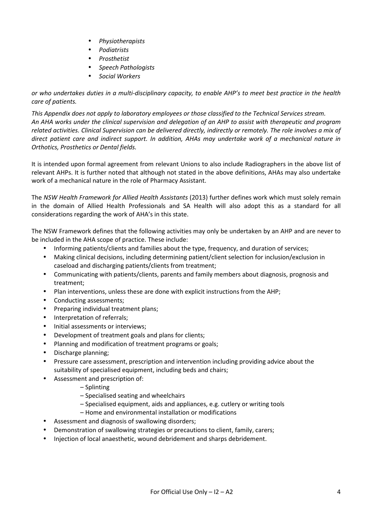- *Physiotherapists*
- *Podiatrists*
- *Prosthetist*
- *Speech Pathologists*
- *Social Workers*

*or who undertakes duties in a multi-disciplinary capacity, to enable AHP's to meet best practice in the health care of patients.* 

*This Appendix does not apply to laboratory employees or those classified to the Technical Services stream. An AHA works under the clinical supervision and delegation of an AHP to assist with therapeutic and program related activities. Clinical Supervision can be delivered directly, indirectly or remotely. The role involves a mix of direct patient care and indirect support. In addition, AHAs may undertake work of a mechanical nature in Orthotics, Prosthetics or Dental fields.* 

It is intended upon formal agreement from relevant Unions to also include Radiographers in the above list of relevant AHPs. It is further noted that although not stated in the above definitions, AHAs may also undertake work of a mechanical nature in the role of Pharmacy Assistant.

The *NSW Health Framework for Allied Health Assistants* (2013) further defines work which must solely remain in the domain of Allied Health Professionals and SA Health will also adopt this as a standard for all considerations regarding the work of AHA's in this state.

The NSW Framework defines that the following activities may only be undertaken by an AHP and are never to be included in the AHA scope of practice. These include:

- Informing patients/clients and families about the type, frequency, and duration of services;
- Making clinical decisions, including determining patient/client selection for inclusion/exclusion in caseload and discharging patients/clients from treatment;
- Communicating with patients/clients, parents and family members about diagnosis, prognosis and treatment;
- Plan interventions, unless these are done with explicit instructions from the AHP;
- Conducting assessments;
- Preparing individual treatment plans;
- Interpretation of referrals;
- Initial assessments or interviews;
- Development of treatment goals and plans for clients;
- Planning and modification of treatment programs or goals;
- Discharge planning;
- Pressure care assessment, prescription and intervention including providing advice about the suitability of specialised equipment, including beds and chairs;
- Assessment and prescription of:
	- Splinting
	- Specialised seating and wheelchairs
	- Specialised equipment, aids and appliances, e.g. cutlery or writing tools
	- Home and environmental installation or modifications
- Assessment and diagnosis of swallowing disorders;
- Demonstration of swallowing strategies or precautions to client, family, carers;
- Injection of local anaesthetic, wound debridement and sharps debridement.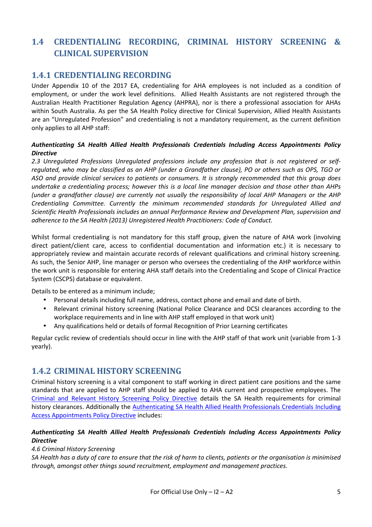# **1.4 CREDENTIALING RECORDING, CRIMINAL HISTORY SCREENING & CLINICAL SUPERVISION**

## **1.4.1 CREDENTIALING RECORDING**

Under Appendix 10 of the 2017 EA, credentialing for AHA employees is not included as a condition of employment, or under the work level definitions. Allied Health Assistants are not registered through the Australian Health Practitioner Regulation Agency (AHPRA), nor is there a professional association for AHAs within South Australia. As per the SA Health Policy directive for Clinical Supervision, Allied Health Assistants are an "Unregulated Profession" and credentialing is not a mandatory requirement, as the current definition only applies to all AHP staff:

#### *Authenticating SA Health Allied Health Professionals Credentials Including Access Appointments Policy Directive*

*2.3 Unregulated Professions Unregulated professions include any profession that is not registered or selfregulated, who may be classified as an AHP (under a Grandfather clause), PO or others such as OPS, TGO or ASO and provide clinical services to patients or consumers. It is strongly recommended that this group does undertake a credentialing process; however this is a local line manager decision and those other than AHPs (under a grandfather clause) are currently not usually the responsibility of local AHP Managers or the AHP Credentialing Committee. Currently the minimum recommended standards for Unregulated Allied and Scientific Health Professionals includes an annual Performance Review and Development Plan, supervision and adherence to the SA Health (2013) Unregistered Health Practitioners: Code of Conduct.* 

Whilst formal credentialing is not mandatory for this staff group, given the nature of AHA work (involving direct patient/client care, access to confidential documentation and information etc.) it is necessary to appropriately review and maintain accurate records of relevant qualifications and criminal history screening. As such, the Senior AHP, line manager or person who oversees the credentialing of the AHP workforce within the work unit is responsible for entering AHA staff details into the Credentialing and Scope of Clinical Practice System (CSCPS) database or equivalent.

Details to be entered as a minimum include;

- Personal details including full name, address, contact phone and email and date of birth.
- Relevant criminal history screening (National Police Clearance and DCSI clearances according to the workplace requirements and in line with AHP staff employed in that work unit)
- Any qualifications held or details of formal Recognition of Prior Learning certificates

Regular cyclic review of credentials should occur in line with the AHP staff of that work unit (variable from 1-3 yearly).

## **1.4.2 CRIMINAL HISTORY SCREENING**

Criminal history screening is a vital component to staff working in direct patient care positions and the same standards that are applied to AHP staff should be applied to AHA current and prospective employees. The Criminal and Relevant History Screening Policy Directive details the SA Health requirements for criminal history clearances. Additionally the Authenticating SA Health Allied Health Professionals Credentials Including Access Appointments Policy Directive includes:

#### *Authenticating SA Health Allied Health Professionals Credentials Including Access Appointments Policy Directive*

#### *4.6 Criminal History Screening*

*SA Health has a duty of care to ensure that the risk of harm to clients, patients or the organisation is minimised through, amongst other things sound recruitment, employment and management practices.*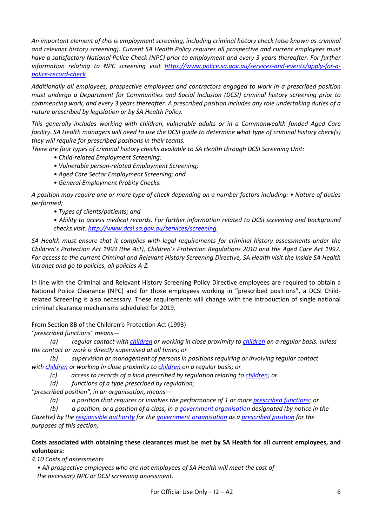*An important element of this is employment screening, including criminal history check (also known as criminal and relevant history screening). Current SA Health Policy requires all prospective and current employees must have a satisfactory National Police Check (NPC) prior to employment and every 3 years thereafter. For further information relating to NPC screening visit https://www.police.sa.gov.au/services-and-events/apply-for-apolice-record-check* 

*Additionally all employees, prospective employees and contractors engaged to work in a prescribed position must undergo a Department for Communities and Social Inclusion (DCSI) criminal history screening prior to commencing work, and every 3 years thereafter. A prescribed position includes any role undertaking duties of a nature prescribed by legislation or by SA Health Policy.* 

*This generally includes working with children, vulnerable adults or in a Commonwealth funded Aged Care facility. SA Health managers will need to use the DCSI guide to determine what type of criminal history check(s) they will require for prescribed positions in their teams.* 

*There are four types of criminal history checks available to SA Health through DCSI Screening Unit:* 

- *Child-related Employment Screening:*
- *Vulnerable person-related Employment Screening;*
- *Aged Care Sector Employment Screening; and*
- *General Employment Probity Checks.*

*A position may require one or more type of check depending on a number factors including: • Nature of duties performed;* 

*• Types of clients/patients; and* 

*• Ability to access medical records. For further information related to DCSI screening and background checks visit: http://www.dcsi.sa.gov.au/services/screening* 

*SA Health must ensure that it complies with legal requirements for criminal history assessments under the Children's Protection Act 1993 (the Act), Children's Protection Regulations 2010 and the Aged Care Act 1997. For access to the current Criminal and Relevant History Screening Directive, SA Health visit the Inside SA Health intranet and go to policies, all policies A-Z.* 

In line with the Criminal and Relevant History Screening Policy Directive employees are required to obtain a National Police Clearance (NPC) and for those employees working in "prescribed positions", a DCSI Childrelated Screening is also necessary. These requirements will change with the introduction of single national criminal clearance mechanisms scheduled for 2019.

From Section 8B of the Children's Protection Act (1993)

*"prescribed functions" means—* 

 *(a) regular contact with children or working in close proximity to children on a regular basis, unless the contact or work is directly supervised at all times; or* 

 *(b) supervision or management of persons in positions requiring or involving regular contact with children or working in close proximity to children on a regular basis; or* 

- *(c) access to records of a kind prescribed by regulation relating to children; or*
- *(d) functions of a type prescribed by regulation;*

*"prescribed position", in an organisation, means—* 

 *(a) a position that requires or involves the performance of 1 or more prescribed functions; or* 

 *(b) a position, or a position of a class, in a government organisation designated (by notice in the Gazette) by the responsible authority for the government organisation as a prescribed position for the purposes of this section;* 

#### **Costs associated with obtaining these clearances must be met by SA Health for all current employees, and volunteers:**

*4.10 Costs of assessments* 

*• All prospective employees who are not employees of SA Health will meet the cost of the necessary NPC or DCSI screening assessment.*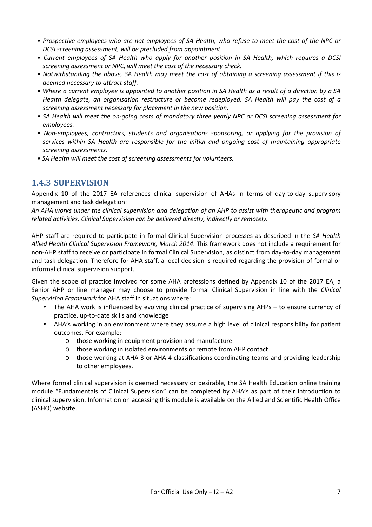- *Prospective employees who are not employees of SA Health, who refuse to meet the cost of the NPC or DCSI screening assessment, will be precluded from appointment.*
- *Current employees of SA Health who apply for another position in SA Health, which requires a DCSI screening assessment or NPC, will meet the cost of the necessary check.*
- *Notwithstanding the above, SA Health may meet the cost of obtaining a screening assessment if this is deemed necessary to attract staff.*
- *Where a current employee is appointed to another position in SA Health as a result of a direction by a SA Health delegate, an organisation restructure or become redeployed, SA Health will pay the cost of a screening assessment necessary for placement in the new position.*
- *SA Health will meet the on-going costs of mandatory three yearly NPC or DCSI screening assessment for employees.*
- *Non-employees, contractors, students and organisations sponsoring, or applying for the provision of services within SA Health are responsible for the initial and ongoing cost of maintaining appropriate screening assessments.*
- *SA Health will meet the cost of screening assessments for volunteers.*

## **1.4.3 SUPERVISION**

Appendix 10 of the 2017 EA references clinical supervision of AHAs in terms of day-to-day supervisory management and task delegation:

*An AHA works under the clinical supervision and delegation of an AHP to assist with therapeutic and program related activities. Clinical Supervision can be delivered directly, indirectly or remotely.* 

AHP staff are required to participate in formal Clinical Supervision processes as described in the *SA Health Allied Health Clinical Supervision Framework, March 2014*. This framework does not include a requirement for non-AHP staff to receive or participate in formal Clinical Supervision, as distinct from day-to-day management and task delegation. Therefore for AHA staff, a local decision is required regarding the provision of formal or informal clinical supervision support.

Given the scope of practice involved for some AHA professions defined by Appendix 10 of the 2017 EA, a Senior AHP or line manager may choose to provide formal Clinical Supervision in line with the *Clinical Supervision Framework* for AHA staff in situations where:

- The AHA work is influenced by evolving clinical practice of supervising AHPs to ensure currency of practice, up-to-date skills and knowledge
- AHA's working in an environment where they assume a high level of clinical responsibility for patient outcomes. For example:
	- $\circ$  those working in equipment provision and manufacture
	- o those working in isolated environments or remote from AHP contact
	- o those working at AHA-3 or AHA-4 classifications coordinating teams and providing leadership to other employees.

Where formal clinical supervision is deemed necessary or desirable, the SA Health Education online training module "Fundamentals of Clinical Supervision" can be completed by AHA's as part of their introduction to clinical supervision. Information on accessing this module is available on the Allied and Scientific Health Office (ASHO) website.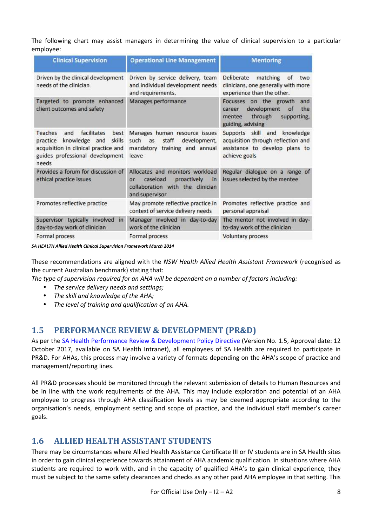The following chart may assist managers in determining the value of clinical supervision to a particular employee:

| <b>Clinical Supervision</b>                                                                                                                                             | <b>Operational Line Management</b>                                                                                            | <b>Mentoring</b>                                                                                                             |  |
|-------------------------------------------------------------------------------------------------------------------------------------------------------------------------|-------------------------------------------------------------------------------------------------------------------------------|------------------------------------------------------------------------------------------------------------------------------|--|
| Driven by the clinical development<br>needs of the clinician                                                                                                            | Driven by service delivery, team<br>and individual development needs<br>and requirements.                                     | matching<br><b>Deliberate</b><br>0f<br>two<br>clinicians, one generally with more<br>experience than the other.              |  |
| Targeted to promote enhanced<br>client outcomes and safety                                                                                                              | Manages performance                                                                                                           | Focusses on the growth<br>and<br>development<br>the<br>of<br>career<br>through<br>mentee<br>supporting,<br>guiding, advising |  |
| facilitates<br><b>Teaches</b><br>and<br>best<br>skills<br>practice<br>knowledge and<br>acquisition in clinical practice and<br>guides professional development<br>needs | Manages human resource issues<br>such<br>staff<br>development,<br>as<br>mandatory training and annual<br>leave                | Supports skill and<br>knowledge<br>acquisition through reflection and<br>assistance to develop plans to<br>achieve goals     |  |
| Provides a forum for discussion of<br>ethical practice issues                                                                                                           | Allocates and monitors workload<br>caseload<br>proactively<br>in<br>Or.<br>collaboration with the clinician<br>and supervisor | Regular dialogue on a range of<br>issues selected by the mentee                                                              |  |
| Promotes reflective practice                                                                                                                                            | May promote reflective practice in<br>context of service delivery needs                                                       | Promotes reflective practice and<br>personal appraisal                                                                       |  |
| Supervisor typically involved<br>in<br>day-to-day work of clinician                                                                                                     | Manager involved in day-to-day<br>work of the clinician                                                                       | The mentor not involved in day-<br>to-day work of the clinician                                                              |  |
| Formal process                                                                                                                                                          | Formal process                                                                                                                | Voluntary process                                                                                                            |  |

*SA HEALTH Allied Health Clinical Supervision Framework March 2014* 

These recommendations are aligned with the *NSW Health Allied Health Assistant Framework* (recognised as the current Australian benchmark) stating that:

*The type of supervision required for an AHA will be dependent on a number of factors including:* 

- *The service delivery needs and settings;*
- *The skill and knowledge of the AHA;*
- *The level of training and qualification of an AHA.*

## **1.5 PERFORMANCE REVIEW & DEVELOPMENT (PR&D)**

As per the SA Health Performance Review & Development Policy Directive (Version No. 1.5, Approval date: 12 October 2017, available on SA Health Intranet), all employees of SA Health are required to participate in PR&D. For AHAs, this process may involve a variety of formats depending on the AHA's scope of practice and management/reporting lines.

All PR&D processes should be monitored through the relevant submission of details to Human Resources and be in line with the work requirements of the AHA. This may include exploration and potential of an AHA employee to progress through AHA classification levels as may be deemed appropriate according to the organisation's needs, employment setting and scope of practice, and the individual staff member's career goals.

## **1.6 ALLIED HEALTH ASSISTANT STUDENTS**

There may be circumstances where Allied Health Assistance Certificate III or IV students are in SA Health sites in order to gain clinical experience towards attainment of AHA academic qualification. In situations where AHA students are required to work with, and in the capacity of qualified AHA's to gain clinical experience, they must be subject to the same safety clearances and checks as any other paid AHA employee in that setting. This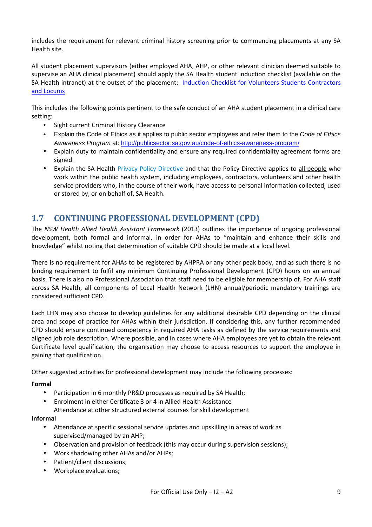includes the requirement for relevant criminal history screening prior to commencing placements at any SA Health site.

All student placement supervisors (either employed AHA, AHP, or other relevant clinician deemed suitable to supervise an AHA clinical placement) should apply the SA Health student induction checklist (available on the SA Health intranet) at the outset of the placement: Induction Checklist for Volunteers Students Contractors and Locums

This includes the following points pertinent to the safe conduct of an AHA student placement in a clinical care setting:

- Sight current Criminal History Clearance
- Explain the Code of Ethics as it applies to public sector employees and refer them to the Code of Ethics Awareness Program at: http://publicsector.sa.gov.au/code-of-ethics-awareness-program/
- Explain duty to maintain confidentiality and ensure any required confidentiality agreement forms are signed.
- Explain the SA Health Privacy Policy Directive and that the Policy Directive applies to all people who work within the public health system, including employees, contractors, volunteers and other health service providers who, in the course of their work, have access to personal information collected, used or stored by, or on behalf of, SA Health.

# **1.7 CONTINUING PROFESSIONAL DEVELOPMENT (CPD)**

The *NSW Health Allied Health Assistant Framework* (2013) outlines the importance of ongoing professional development, both formal and informal, in order for AHAs to "maintain and enhance their skills and knowledge" whilst noting that determination of suitable CPD should be made at a local level.

There is no requirement for AHAs to be registered by AHPRA or any other peak body, and as such there is no binding requirement to fulfil any minimum Continuing Professional Development (CPD) hours on an annual basis. There is also no Professional Association that staff need to be eligible for membership of. For AHA staff across SA Health, all components of Local Health Network (LHN) annual/periodic mandatory trainings are considered sufficient CPD.

Each LHN may also choose to develop guidelines for any additional desirable CPD depending on the clinical area and scope of practice for AHAs within their jurisdiction. If considering this, any further recommended CPD should ensure continued competency in required AHA tasks as defined by the service requirements and aligned job role description. Where possible, and in cases where AHA employees are yet to obtain the relevant Certificate level qualification, the organisation may choose to access resources to support the employee in gaining that qualification.

Other suggested activities for professional development may include the following processes:

**Formal** 

- Participation in 6 monthly PR&D processes as required by SA Health;
- Enrolment in either Certificate 3 or 4 in Allied Health Assistance
	- Attendance at other structured external courses for skill development

#### **Informal**

- Attendance at specific sessional service updates and upskilling in areas of work as supervised/managed by an AHP;
- Observation and provision of feedback (this may occur during supervision sessions);
- Work shadowing other AHAs and/or AHPs;
- Patient/client discussions;
- Workplace evaluations;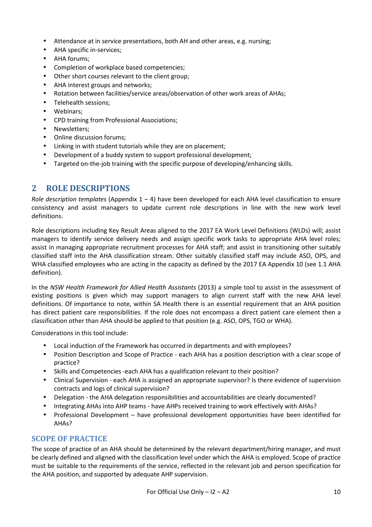- Attendance at in service presentations, both AH and other areas, e.g. nursing;
- AHA specific in-services;
- AHA forums;
- Completion of workplace based competencies;
- Other short courses relevant to the client group;
- AHA interest groups and networks;
- Rotation between facilities/service areas/observation of other work areas of AHAs;
- Telehealth sessions;
- Webinars;
- CPD training from Professional Associations;
- Newsletters:
- Online discussion forums;
- Linking in with student tutorials while they are on placement;
- Development of a buddy system to support professional development;
- Targeted on-the-job training with the specific purpose of developing/enhancing skills.

## **2 ROLE DESCRIPTIONS**

*Role description templates* (Appendix 1 – 4) have been developed for each AHA level classification to ensure consistency and assist managers to update current role descriptions in line with the new work level definitions.

Role descriptions including Key Result Areas aligned to the 2017 EA Work Level Definitions (WLDs) will; assist managers to identify service delivery needs and assign specific work tasks to appropriate AHA level roles; assist in managing appropriate recruitment processes for AHA staff; and assist in transitioning other suitably classified staff into the AHA classification stream. Other suitably classified staff may include ASO, OPS, and WHA classified employees who are acting in the capacity as defined by the 2017 EA Appendix 10 (see 1.1 AHA definition).

In the *NSW Health Framework for Allied Health Assistants* (2013) a simple tool to assist in the assessment of existing positions is given which may support managers to align current staff with the new AHA level definitions. Of importance to note, within SA Health there is an essential requirement that an AHA position has direct patient care responsibilities. If the role does not encompass a direct patient care element then a classification other than AHA should be applied to that position (e.g. ASO, OPS, TGO or WHA).

Considerations in this tool include:

- Local induction of the Framework has occurred in departments and with employees?
- Position Description and Scope of Practice each AHA has a position description with a clear scope of practice?
- Skills and Competencies -each AHA has a qualification relevant to their position?
- Clinical Supervision each AHA is assigned an appropriate supervisor? Is there evidence of supervision contracts and logs of clinical supervision?
- Delegation the AHA delegation responsibilities and accountabilities are clearly documented?
- Integrating AHAs into AHP teams have AHPs received training to work effectively with AHAs?
- Professional Development have professional development opportunities have been identified for AHAs?

## **SCOPE OF PRACTICE**

The scope of practice of an AHA should be determined by the relevant department/hiring manager, and must be clearly defined and aligned with the classification level under which the AHA is employed. Scope of practice must be suitable to the requirements of the service, reflected in the relevant job and person specification for the AHA position, and supported by adequate AHP supervision.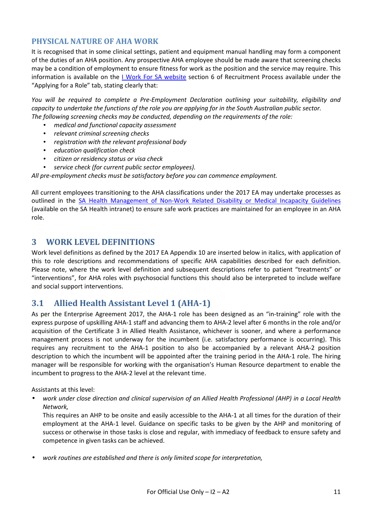#### **PHYSICAL NATURE OF AHA WORK**

It is recognised that in some clinical settings, patient and equipment manual handling may form a component of the duties of an AHA position. Any prospective AHA employee should be made aware that screening checks may be a condition of employment to ensure fitness for work as the position and the service may require. This information is available on the *I Work For SA website section 6 of Recruitment Process available under the* "Applying for a Role" tab, stating clearly that:

*You will be required to complete a Pre-Employment Declaration outlining your suitability, eligibility and capacity to undertake the functions of the role you are applying for in the South Australian public sector. The following screening checks may be conducted, depending on the requirements of the role:* 

- *medical and functional capacity assessment*
- *relevant criminal screening checks*
- *registration with the relevant professional body*
- *education qualification check*
- *citizen or residency status or visa check*
- *service check (for current public sector employees).*

*All pre-employment checks must be satisfactory before you can commence employment.* 

All current employees transitioning to the AHA classifications under the 2017 EA may undertake processes as outlined in the SA Health Management of Non-Work Related Disability or Medical Incapacity Guidelines (available on the SA Health intranet) to ensure safe work practices are maintained for an employee in an AHA role.

## **3 WORK LEVEL DEFINITIONS**

Work level definitions as defined by the 2017 EA Appendix 10 are inserted below in italics, with application of this to role descriptions and recommendations of specific AHA capabilities described for each definition. Please note, where the work level definition and subsequent descriptions refer to patient "treatments" or "interventions", for AHA roles with psychosocial functions this should also be interpreted to include welfare and social support interventions.

## **3.1 Allied Health Assistant Level 1 (AHA-1)**

As per the Enterprise Agreement 2017, the AHA-1 role has been designed as an "in-training" role with the express purpose of upskilling AHA-1 staff and advancing them to AHA-2 level after 6 months in the role and/or acquisition of the Certificate 3 in Allied Health Assistance, whichever is sooner, and where a performance management process is not underway for the incumbent (i.e. satisfactory performance is occurring). This requires any recruitment to the AHA-1 position to also be accompanied by a relevant AHA-2 position description to which the incumbent will be appointed after the training period in the AHA-1 role. The hiring manager will be responsible for working with the organisation's Human Resource department to enable the incumbent to progress to the AHA-2 level at the relevant time.

Assistants at this level:

• *work under close direction and clinical supervision of an Allied Health Professional (AHP) in a Local Health Network,* 

This requires an AHP to be onsite and easily accessible to the AHA-1 at all times for the duration of their employment at the AHA-1 level. Guidance on specific tasks to be given by the AHP and monitoring of success or otherwise in those tasks is close and regular, with immediacy of feedback to ensure safety and competence in given tasks can be achieved.

• *work routines are established and there is only limited scope for interpretation,*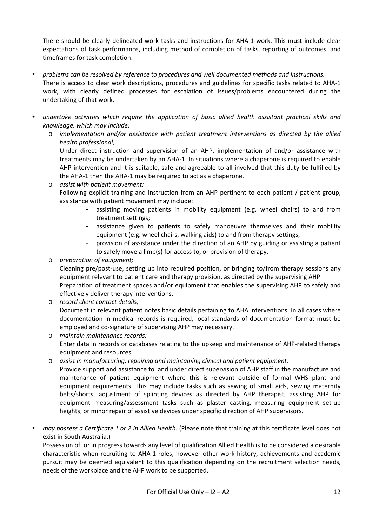There should be clearly delineated work tasks and instructions for AHA-1 work. This must include clear expectations of task performance, including method of completion of tasks, reporting of outcomes, and timeframes for task completion.

- *problems can be resolved by reference to procedures and well documented methods and instructions,*  There is access to clear work descriptions, procedures and guidelines for specific tasks related to AHA-1 work, with clearly defined processes for escalation of issues/problems encountered during the undertaking of that work.
- *undertake activities which require the application of basic allied health assistant practical skills and knowledge, which may include:* 
	- o *implementation and/or assistance with patient treatment interventions as directed by the allied health professional;*

Under direct instruction and supervision of an AHP, implementation of and/or assistance with treatments may be undertaken by an AHA-1. In situations where a chaperone is required to enable AHP intervention and it is suitable, safe and agreeable to all involved that this duty be fulfilled by the AHA-1 then the AHA-1 may be required to act as a chaperone.

- o *assist with patient movement;*  Following explicit training and instruction from an AHP pertinent to each patient / patient group, assistance with patient movement may include:
	- assisting moving patients in mobility equipment (e.g. wheel chairs) to and from treatment settings;
	- assistance given to patients to safely manoeuvre themselves and their mobility equipment (e.g. wheel chairs, walking aids) to and from therapy settings;
	- provision of assistance under the direction of an AHP by guiding or assisting a patient to safely move a limb(s) for access to, or provision of therapy.
- o *preparation of equipment;*

Cleaning pre/post-use, setting up into required position, or bringing to/from therapy sessions any equipment relevant to patient care and therapy provision, as directed by the supervising AHP. Preparation of treatment spaces and/or equipment that enables the supervising AHP to safely and

- effectively deliver therapy interventions.
- o *record client contact details;*  Document in relevant patient notes basic details pertaining to AHA interventions. In all cases where documentation in medical records is required, local standards of documentation format must be employed and co-signature of supervising AHP may necessary.
- o *maintain maintenance records;*  Enter data in records or databases relating to the upkeep and maintenance of AHP-related therapy equipment and resources.
- o *assist in manufacturing, repairing and maintaining clinical and patient equipment.*  Provide support and assistance to, and under direct supervision of AHP staff in the manufacture and maintenance of patient equipment where this is relevant outside of formal WHS plant and equipment requirements. This may include tasks such as sewing of small aids, sewing maternity belts/shorts, adjustment of splinting devices as directed by AHP therapist, assisting AHP for equipment measuring/assessment tasks such as plaster casting, measuring equipment set-up heights, or minor repair of assistive devices under specific direction of AHP supervisors.
- *may possess a Certificate 1 or 2 in Allied Health.* (Please note that training at this certificate level does not exist in South Australia.)

Possession of, or in progress towards any level of qualification Allied Health is to be considered a desirable characteristic when recruiting to AHA-1 roles, however other work history, achievements and academic pursuit may be deemed equivalent to this qualification depending on the recruitment selection needs, needs of the workplace and the AHP work to be supported.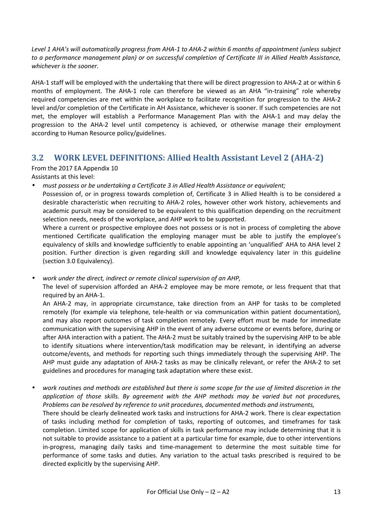*Level 1 AHA's will automatically progress from AHA-1 to AHA-2 within 6 months of appointment (unless subject to a performance management plan) or on successful completion of Certificate III in Allied Health Assistance, whichever is the sooner.* 

AHA-1 staff will be employed with the undertaking that there will be direct progression to AHA-2 at or within 6 months of employment. The AHA-1 role can therefore be viewed as an AHA "in-training" role whereby required competencies are met within the workplace to facilitate recognition for progression to the AHA-2 level and/or completion of the Certificate in AH Assistance, whichever is sooner. If such competencies are not met, the employer will establish a Performance Management Plan with the AHA-1 and may delay the progression to the AHA-2 level until competency is achieved, or otherwise manage their employment according to Human Resource policy/guidelines.

# **3.2 WORK LEVEL DEFINITIONS: Allied Health Assistant Level 2 (AHA-2)**

From the 2017 EA Appendix 10

Assistants at this level:

• *must possess or be undertaking a Certificate 3 in Allied Health Assistance or equivalent;* 

Possession of, or in progress towards completion of, Certificate 3 in Allied Health is to be considered a desirable characteristic when recruiting to AHA-2 roles, however other work history, achievements and academic pursuit may be considered to be equivalent to this qualification depending on the recruitment selection needs, needs of the workplace, and AHP work to be supported.

Where a current or prospective employee does not possess or is not in process of completing the above mentioned Certificate qualification the employing manager must be able to justify the employee's equivalency of skills and knowledge sufficiently to enable appointing an 'unqualified' AHA to AHA level 2 position. Further direction is given regarding skill and knowledge equivalency later in this guideline (section 3.0 Equivalency).

• *work under the direct, indirect or remote clinical supervision of an AHP,* 

The level of supervision afforded an AHA-2 employee may be more remote, or less frequent that that required by an AHA-1.

An AHA-2 may, in appropriate circumstance, take direction from an AHP for tasks to be completed remotely (for example via telephone, tele-health or via communication within patient documentation), and may also report outcomes of task completion remotely. Every effort must be made for immediate communication with the supervising AHP in the event of any adverse outcome or events before, during or after AHA interaction with a patient. The AHA-2 must be suitably trained by the supervising AHP to be able to identify situations where intervention/task modification may be relevant, in identifying an adverse outcome/events, and methods for reporting such things immediately through the supervising AHP. The AHP must guide any adaptation of AHA-2 tasks as may be clinically relevant, or refer the AHA-2 to set guidelines and procedures for managing task adaptation where these exist.

• *work routines and methods are established but there is some scope for the use of limited discretion in the application of those skills. By agreement with the AHP methods may be varied but not procedures, Problems can be resolved by reference to unit procedures, documented methods and instruments,* 

There should be clearly delineated work tasks and instructions for AHA-2 work. There is clear expectation of tasks including method for completion of tasks, reporting of outcomes, and timeframes for task completion. Limited scope for application of skills in task performance may include determining that it is not suitable to provide assistance to a patient at a particular time for example, due to other interventions in-progress, managing daily tasks and time-management to determine the most suitable time for performance of some tasks and duties. Any variation to the actual tasks prescribed is required to be directed explicitly by the supervising AHP.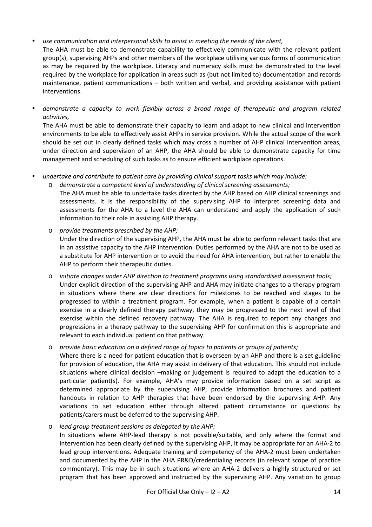#### • *use communication and interpersonal skills to assist in meeting the needs of the client,*

- The AHA must be able to demonstrate capability to effectively communicate with the relevant patient group(s), supervising AHPs and other members of the workplace utilising various forms of communication as may be required by the workplace. Literacy and numeracy skills must be demonstrated to the level required by the workplace for application in areas such as (but not limited to) documentation and records maintenance, patient communications – both written and verbal, and providing assistance with patient interventions.
- *demonstrate a capacity to work flexibly across a broad range of therapeutic and program related activities,*

The AHA must be able to demonstrate their capacity to learn and adapt to new clinical and intervention environments to be able to effectively assist AHPs in service provision. While the actual scope of the work should be set out in clearly defined tasks which may cross a number of AHP clinical intervention areas, under direction and supervision of an AHP, the AHA should be able to demonstrate capacity for time management and scheduling of such tasks as to ensure efficient workplace operations.

- *undertake and contribute to patient care by providing clinical support tasks which may include:* 
	- o *demonstrate a competent level of understanding of clinical screening assessments;*  The AHA must be able to undertake tasks directed by the AHP based on AHP clinical screenings and
		- assessments. It is the responsibility of the supervising AHP to interpret screening data and assessments for the AHA to a level the AHA can understand and apply the application of such information to their role in assisting AHP therapy.
	- o *provide treatments prescribed by the AHP;*  Under the direction of the supervising AHP, the AHA must be able to perform relevant tasks that are in an assistive capacity to the AHP intervention. Duties performed by the AHA are not to be used as a substitute for AHP intervention or to avoid the need for AHA intervention, but rather to enable the AHP to perform their therapeutic duties.
	- o *initiate changes under AHP direction to treatment programs using standardised assessment tools;*  Under explicit direction of the supervising AHP and AHA may initiate changes to a therapy program in situations where there are clear directions for milestones to be reached and stages to be progressed to within a treatment program. For example, when a patient is capable of a certain exercise in a clearly defined therapy pathway, they may be progressed to the next level of that exercise within the defined recovery pathway. The AHA is required to report any changes and progressions in a therapy pathway to the supervising AHP for confirmation this is appropriate and relevant to each individual patient on that pathway.
	- o *provide basic education on a defined range of topics to patients or groups of patients;*

Where there is a need for patient education that is overseen by an AHP and there is a set guideline for provision of education, the AHA may assist in delivery of that education. This should not include situations where clinical decision –making or judgement is required to adapt the education to a particular patient(s). For example, AHA's may provide information based on a set script as determined appropriate by the supervising AHP, provide information brochures and patient handouts in relation to AHP therapies that have been endorsed by the supervising AHP. Any variations to set education either through altered patient circumstance or questions by patients/carers must be deferred to the supervising AHP.

o *lead group treatment sessions as delegated by the AHP;* 

In situations where AHP-lead therapy is not possible/suitable, and only where the format and intervention has been clearly defined by the supervising AHP, it may be appropriate for an AHA-2 to lead group interventions. Adequate training and competency of the AHA-2 must been undertaken and documented by the AHP in the AHA PR&D/credentialing records (in relevant scope of practice commentary). This may be in such situations where an AHA-2 delivers a highly structured or set program that has been approved and instructed by the supervising AHP. Any variation to group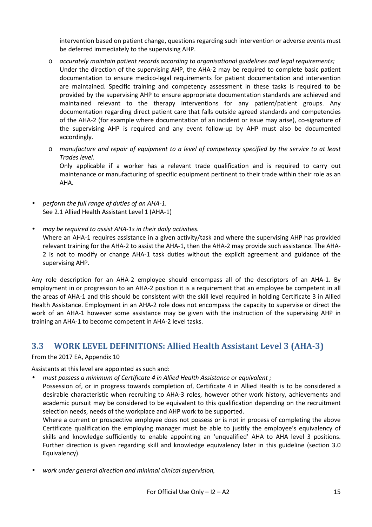intervention based on patient change, questions regarding such intervention or adverse events must be deferred immediately to the supervising AHP.

- o *accurately maintain patient records according to organisational guidelines and legal requirements;*  Under the direction of the supervising AHP, the AHA-2 may be required to complete basic patient documentation to ensure medico-legal requirements for patient documentation and intervention are maintained. Specific training and competency assessment in these tasks is required to be provided by the supervising AHP to ensure appropriate documentation standards are achieved and maintained relevant to the therapy interventions for any patient/patient groups. Any documentation regarding direct patient care that falls outside agreed standards and competencies of the AHA-2 (for example where documentation of an incident or issue may arise), co-signature of the supervising AHP is required and any event follow-up by AHP must also be documented accordingly.
- o *manufacture and repair of equipment to a level of competency specified by the service to at least Trades level.*  Only applicable if a worker has a relevant trade qualification and is required to carry out

maintenance or manufacturing of specific equipment pertinent to their trade within their role as an AHA.

- *perform the full range of duties of an AHA-1.*  See 2.1 Allied Health Assistant Level 1 (AHA-1)
- *may be required to assist AHA-1s in their daily activities.*  Where an AHA-1 requires assistance in a given activity/task and where the supervising AHP has provided relevant training for the AHA-2 to assist the AHA-1, then the AHA-2 may provide such assistance. The AHA-2 is not to modify or change AHA-1 task duties without the explicit agreement and guidance of the

Any role description for an AHA-2 employee should encompass all of the descriptors of an AHA-1. By employment in or progression to an AHA-2 position it is a requirement that an employee be competent in all the areas of AHA-1 and this should be consistent with the skill level required in holding Certificate 3 in Allied Health Assistance. Employment in an AHA-2 role does not encompass the capacity to supervise or direct the work of an AHA-1 however some assistance may be given with the instruction of the supervising AHP in training an AHA-1 to become competent in AHA-2 level tasks.

# **3.3 WORK LEVEL DEFINITIONS: Allied Health Assistant Level 3 (AHA-3)**

From the 2017 EA, Appendix 10

supervising AHP.

Assistants at this level are appointed as such and:

- *must possess a minimum of Certificate 4 in Allied Health Assistance or equivalent ;*
- Possession of, or in progress towards completion of, Certificate 4 in Allied Health is to be considered a desirable characteristic when recruiting to AHA-3 roles, however other work history, achievements and academic pursuit may be considered to be equivalent to this qualification depending on the recruitment selection needs, needs of the workplace and AHP work to be supported.

Where a current or prospective employee does not possess or is not in process of completing the above Certificate qualification the employing manager must be able to justify the employee's equivalency of skills and knowledge sufficiently to enable appointing an 'unqualified' AHA to AHA level 3 positions. Further direction is given regarding skill and knowledge equivalency later in this guideline (section 3.0 Equivalency).

• *work under general direction and minimal clinical supervision,*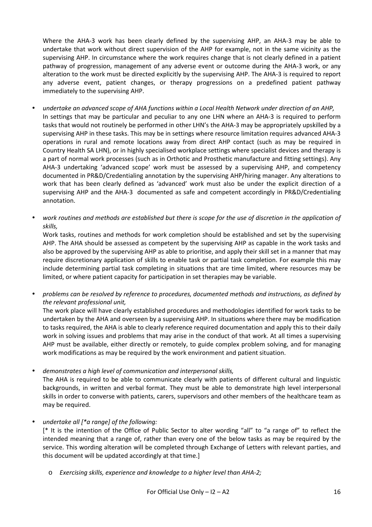Where the AHA-3 work has been clearly defined by the supervising AHP, an AHA-3 may be able to undertake that work without direct supervision of the AHP for example, not in the same vicinity as the supervising AHP. In circumstance where the work requires change that is not clearly defined in a patient pathway of progression, management of any adverse event or outcome during the AHA-3 work, or any alteration to the work must be directed explicitly by the supervising AHP. The AHA-3 is required to report any adverse event, patient changes, or therapy progressions on a predefined patient pathway immediately to the supervising AHP.

- *undertake an advanced scope of AHA functions within a Local Health Network under direction of an AHP,*  In settings that may be particular and peculiar to any one LHN where an AHA-3 is required to perform tasks that would not routinely be performed in other LHN's the AHA-3 may be appropriately upskilled by a supervising AHP in these tasks. This may be in settings where resource limitation requires advanced AHA-3 operations in rural and remote locations away from direct AHP contact (such as may be required in Country Health SA LHN), or in highly specialised workplace settings where specialist devices and therapy is a part of normal work processes (such as in Orthotic and Prosthetic manufacture and fitting settings). Any AHA-3 undertaking 'advanced scope' work must be assessed by a supervising AHP, and competency documented in PR&D/Credentialing annotation by the supervising AHP/hiring manager. Any alterations to work that has been clearly defined as 'advanced' work must also be under the explicit direction of a supervising AHP and the AHA-3 documented as safe and competent accordingly in PR&D/Credentialing annotation.
- *work routines and methods are established but there is scope for the use of discretion in the application of skills,*

Work tasks, routines and methods for work completion should be established and set by the supervising AHP. The AHA should be assessed as competent by the supervising AHP as capable in the work tasks and also be approved by the supervising AHP as able to prioritise, and apply their skill set in a manner that may require discretionary application of skills to enable task or partial task completion. For example this may include determining partial task completing in situations that are time limited, where resources may be limited, or where patient capacity for participation in set therapies may be variable.

• *problems can be resolved by reference to procedures, documented methods and instructions, as defined by the relevant professional unit,* 

The work place will have clearly established procedures and methodologies identified for work tasks to be undertaken by the AHA and overseen by a supervising AHP. In situations where there may be modification to tasks required, the AHA is able to clearly reference required documentation and apply this to their daily work in solving issues and problems that may arise in the conduct of that work. At all times a supervising AHP must be available, either directly or remotely, to guide complex problem solving, and for managing work modifications as may be required by the work environment and patient situation.

• *demonstrates a high level of communication and interpersonal skills,* 

The AHA is required to be able to communicate clearly with patients of different cultural and linguistic backgrounds, in written and verbal format. They must be able to demonstrate high level interpersonal skills in order to converse with patients, carers, supervisors and other members of the healthcare team as may be required.

• *undertake all [\*a range] of the following:* 

[\* It is the intention of the Office of Public Sector to alter wording "all" to "a range of" to reflect the intended meaning that a range of, rather than every one of the below tasks as may be required by the service. This wording alteration will be completed through Exchange of Letters with relevant parties, and this document will be updated accordingly at that time.]

o *Exercising skills, experience and knowledge to a higher level than AHA-2;*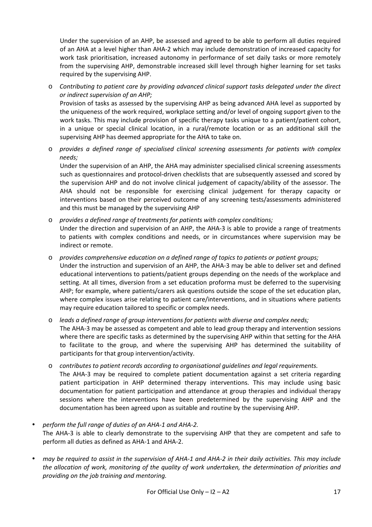Under the supervision of an AHP, be assessed and agreed to be able to perform all duties required of an AHA at a level higher than AHA-2 which may include demonstration of increased capacity for work task prioritisation, increased autonomy in performance of set daily tasks or more remotely from the supervising AHP, demonstrable increased skill level through higher learning for set tasks required by the supervising AHP.

o *Contributing to patient care by providing advanced clinical support tasks delegated under the direct or indirect supervision of an AHP;* 

Provision of tasks as assessed by the supervising AHP as being advanced AHA level as supported by the uniqueness of the work required, workplace setting and/or level of ongoing support given to the work tasks. This may include provision of specific therapy tasks unique to a patient/patient cohort, in a unique or special clinical location, in a rural/remote location or as an additional skill the supervising AHP has deemed appropriate for the AHA to take on.

o *provides a defined range of specialised clinical screening assessments for patients with complex needs;* 

Under the supervision of an AHP, the AHA may administer specialised clinical screening assessments such as questionnaires and protocol-driven checklists that are subsequently assessed and scored by the supervision AHP and do not involve clinical judgement of capacity/ability of the assessor. The AHA should not be responsible for exercising clinical judgement for therapy capacity or interventions based on their perceived outcome of any screening tests/assessments administered and this must be managed by the supervising AHP

- o *provides a defined range of treatments for patients with complex conditions;*  Under the direction and supervision of an AHP, the AHA-3 is able to provide a range of treatments to patients with complex conditions and needs, or in circumstances where supervision may be indirect or remote.
- o *provides comprehensive education on a defined range of topics to patients or patient groups;*  Under the instruction and supervision of an AHP, the AHA-3 may be able to deliver set and defined educational interventions to patients/patient groups depending on the needs of the workplace and setting. At all times, diversion from a set education proforma must be deferred to the supervising AHP; for example, where patients/carers ask questions outside the scope of the set education plan, where complex issues arise relating to patient care/interventions, and in situations where patients may require education tailored to specific or complex needs.
- o *leads a defined range of group interventions for patients with diverse and complex needs;*  The AHA-3 may be assessed as competent and able to lead group therapy and intervention sessions where there are specific tasks as determined by the supervising AHP within that setting for the AHA to facilitate to the group, and where the supervising AHP has determined the suitability of participants for that group intervention/activity.
- o *contributes to patient records according to organisational guidelines and legal requirements.*  The AHA-3 may be required to complete patient documentation against a set criteria regarding patient participation in AHP determined therapy interventions. This may include using basic documentation for patient participation and attendance at group therapies and individual therapy sessions where the interventions have been predetermined by the supervising AHP and the documentation has been agreed upon as suitable and routine by the supervising AHP.
- *perform the full range of duties of an AHA-1 and AHA-2.*  The AHA-3 is able to clearly demonstrate to the supervising AHP that they are competent and safe to perform all duties as defined as AHA-1 and AHA-2.
- *may be required to assist in the supervision of AHA-1 and AHA-2 in their daily activities. This may include the allocation of work, monitoring of the quality of work undertaken, the determination of priorities and providing on the job training and mentoring.*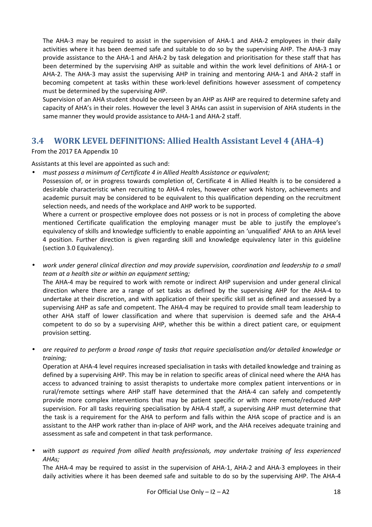The AHA-3 may be required to assist in the supervision of AHA-1 and AHA-2 employees in their daily activities where it has been deemed safe and suitable to do so by the supervising AHP. The AHA-3 may provide assistance to the AHA-1 and AHA-2 by task delegation and prioritisation for these staff that has been determined by the supervising AHP as suitable and within the work level definitions of AHA-1 or AHA-2. The AHA-3 may assist the supervising AHP in training and mentoring AHA-1 and AHA-2 staff in becoming competent at tasks within these work-level definitions however assessment of competency must be determined by the supervising AHP.

Supervision of an AHA student should be overseen by an AHP as AHP are required to determine safety and capacity of AHA's in their roles. However the level 3 AHAs can assist in supervision of AHA students in the same manner they would provide assistance to AHA-1 and AHA-2 staff.

## **3.4 WORK LEVEL DEFINITIONS: Allied Health Assistant Level 4 (AHA-4)**

#### From the 2017 EA Appendix 10

#### Assistants at this level are appointed as such and:

• *must possess a minimum of Certificate 4 in Allied Health Assistance or equivalent;* 

Possession of, or in progress towards completion of, Certificate 4 in Allied Health is to be considered a desirable characteristic when recruiting to AHA-4 roles, however other work history, achievements and academic pursuit may be considered to be equivalent to this qualification depending on the recruitment selection needs, and needs of the workplace and AHP work to be supported.

Where a current or prospective employee does not possess or is not in process of completing the above mentioned Certificate qualification the employing manager must be able to justify the employee's equivalency of skills and knowledge sufficiently to enable appointing an 'unqualified' AHA to an AHA level 4 position. Further direction is given regarding skill and knowledge equivalency later in this guideline (section 3.0 Equivalency).

• *work under general clinical direction and may provide supervision, coordination and leadership to a small team at a health site or within an equipment setting;*  The AHA-4 may be required to work with remote or indirect AHP supervision and under general clinical direction where there are a range of set tasks as defined by the supervising AHP for the AHA-4 to undertake at their discretion, and with application of their specific skill set as defined and assessed by a supervising AHP as safe and competent. The AHA-4 may be required to provide small team leadership to other AHA staff of lower classification and where that supervision is deemed safe and the AHA-4

provision setting. • *are required to perform a broad range of tasks that require specialisation and/or detailed knowledge or* 

competent to do so by a supervising AHP, whether this be within a direct patient care, or equipment

*training;*  Operation at AHA-4 level requires increased specialisation in tasks with detailed knowledge and training as defined by a supervising AHP. This may be in relation to specific areas of clinical need where the AHA has access to advanced training to assist therapists to undertake more complex patient interventions or in rural/remote settings where AHP staff have determined that the AHA-4 can safely and competently provide more complex interventions that may be patient specific or with more remote/reduced AHP supervision. For all tasks requiring specialisation by AHA-4 staff, a supervising AHP must determine that the task is a requirement for the AHA to perform and falls within the AHA scope of practice and is an assistant to the AHP work rather than in-place of AHP work, and the AHA receives adequate training and assessment as safe and competent in that task performance.

• *with support as required from allied health professionals, may undertake training of less experienced AHAs;* 

The AHA-4 may be required to assist in the supervision of AHA-1, AHA-2 and AHA-3 employees in their daily activities where it has been deemed safe and suitable to do so by the supervising AHP. The AHA-4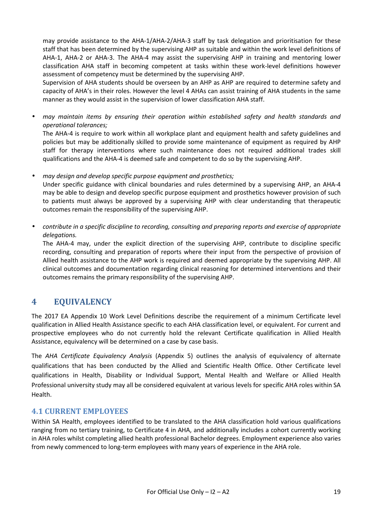may provide assistance to the AHA-1/AHA-2/AHA-3 staff by task delegation and prioritisation for these staff that has been determined by the supervising AHP as suitable and within the work level definitions of AHA-1, AHA-2 or AHA-3. The AHA-4 may assist the supervising AHP in training and mentoring lower classification AHA staff in becoming competent at tasks within these work-level definitions however assessment of competency must be determined by the supervising AHP.

Supervision of AHA students should be overseen by an AHP as AHP are required to determine safety and capacity of AHA's in their roles. However the level 4 AHAs can assist training of AHA students in the same manner as they would assist in the supervision of lower classification AHA staff.

• *may maintain items by ensuring their operation within established safety and health standards and operational tolerances;* 

The AHA-4 is require to work within all workplace plant and equipment health and safety guidelines and policies but may be additionally skilled to provide some maintenance of equipment as required by AHP staff for therapy interventions where such maintenance does not required additional trades skill qualifications and the AHA-4 is deemed safe and competent to do so by the supervising AHP.

• *may design and develop specific purpose equipment and prosthetics;* 

Under specific guidance with clinical boundaries and rules determined by a supervising AHP, an AHA-4 may be able to design and develop specific purpose equipment and prosthetics however provision of such to patients must always be approved by a supervising AHP with clear understanding that therapeutic outcomes remain the responsibility of the supervising AHP.

• *contribute in a specific discipline to recording, consulting and preparing reports and exercise of appropriate delegations.* 

The AHA-4 may, under the explicit direction of the supervising AHP, contribute to discipline specific recording, consulting and preparation of reports where their input from the perspective of provision of Allied health assistance to the AHP work is required and deemed appropriate by the supervising AHP. All clinical outcomes and documentation regarding clinical reasoning for determined interventions and their outcomes remains the primary responsibility of the supervising AHP.

# **4 EQUIVALENCY**

The 2017 EA Appendix 10 Work Level Definitions describe the requirement of a minimum Certificate level qualification in Allied Health Assistance specific to each AHA classification level, or equivalent. For current and prospective employees who do not currently hold the relevant Certificate qualification in Allied Health Assistance, equivalency will be determined on a case by case basis.

The *AHA Certificate Equivalency Analysis* (Appendix 5) outlines the analysis of equivalency of alternate qualifications that has been conducted by the Allied and Scientific Health Office. Other Certificate level qualifications in Health, Disability or Individual Support, Mental Health and Welfare or Allied Health Professional university study may all be considered equivalent at various levels for specific AHA roles within SA Health.

#### **4.1 CURRENT EMPLOYEES**

Within SA Health, employees identified to be translated to the AHA classification hold various qualifications ranging from no tertiary training, to Certificate 4 in AHA, and additionally includes a cohort currently working in AHA roles whilst completing allied health professional Bachelor degrees. Employment experience also varies from newly commenced to long-term employees with many years of experience in the AHA role.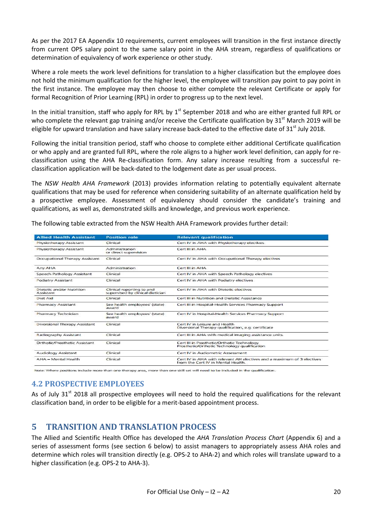As per the 2017 EA Appendix 10 requirements, current employees will transition in the first instance directly from current OPS salary point to the same salary point in the AHA stream, regardless of qualifications or determination of equivalency of work experience or other study.

Where a role meets the work level definitions for translation to a higher classification but the employee does not hold the minimum qualification for the higher level, the employee will transition pay point to pay point in the first instance. The employee may then choose to either complete the relevant Certificate or apply for formal Recognition of Prior Learning (RPL) in order to progress up to the next level.

In the initial transition, staff who apply for RPL by  $1<sup>st</sup>$  September 2018 and who are either granted full RPL or who complete the relevant gap training and/or receive the Certificate qualification by 31<sup>st</sup> March 2019 will be eligible for upward translation and have salary increase back-dated to the effective date of 31<sup>st</sup> July 2018.

Following the initial transition period, staff who choose to complete either additional Certificate qualification or who apply and are granted full RPL, where the role aligns to a higher work level definition, can apply for reclassification using the AHA Re-classification form. Any salary increase resulting from a successful reclassification application will be back-dated to the lodgement date as per usual process.

The *NSW Health AHA Framework* (2013) provides information relating to potentially equivalent alternate qualifications that may be used for reference when considering suitability of an alternate qualification held by a prospective employee. Assessment of equivalency should consider the candidate's training and qualifications, as well as, demonstrated skills and knowledge, and previous work experience.

| <b>Allied Health Assistant</b>         | <b>Position role</b>                                          | <b>Relevant qualification</b>                                                                                |
|----------------------------------------|---------------------------------------------------------------|--------------------------------------------------------------------------------------------------------------|
| Physiotherapy Assistant                | Clinical                                                      | Cert IV in AHA with Physiotherapy electives                                                                  |
| Physiotherapy Assistant                | Administration<br>or direct supervision                       | Cert III in AHA                                                                                              |
| Occupational Therapy Assistant         | Clinical                                                      | Cert IV in AHA with Occupational Therapy electives                                                           |
| Any AHA                                | Administration                                                | Cert III in AHA                                                                                              |
| Speech Pathology Assistant             | Clinical                                                      | Cert IV in AHA with Speech Pathology electives                                                               |
| Podiatry Assistant                     | Clinical                                                      | Cert IV in AHA with Podiatry electives                                                                       |
| Dietetic and/or Nutrition<br>Assistant | Clinical reporting to and<br>supervised by clinical dietician | Cert IV in AHA with Dietetic electives                                                                       |
| Diet Aid                               | Clinical                                                      | Cert III in Nutrition and Dietetic Assistance                                                                |
| <b>Pharmacy Assistant</b>              | See health employees' (state)<br>award                        | Cert III in Hospital-Health Services Pharmacy Support                                                        |
| Pharmacy Technician                    | See health employees' (state)<br>award                        | Cert IV in Hospital-Health Services Pharmacy Support                                                         |
| Diversional Therapy Assistant          | Clinical                                                      | Cert IV in Leisure and Health<br>Diversional Therapy qualification, e.g. certificate                         |
| Radiography Assistant                  | Clinical                                                      | Cert III in AHA with medical imaging assistance units.                                                       |
| <b>Drthotic/Prosthetic Assistant</b>   | Clinical                                                      | Cert III in Prosthetic/Orthotic Technology<br>Prosthetic/Orthotic Technology qualification                   |
| <b>Audiology Assistant</b>             | Clinical                                                      | Cert IV in Audiometric Assessment                                                                            |
| AHA - Mental Health                    | Clinical                                                      | Cert IV in AHA with relevant AH electives and a maximum of 3 electives<br>from the Cert IV in Mental Health. |

The following table extracted from the NSW Health AHA Framework provides further detail:

Note: Where positions include more than one therapy area, more than one skill set will need to be included in the qualification

## **4.2 PROSPECTIVE EMPLOYEES**

As of July 31<sup>st</sup> 2018 all prospective employees will need to hold the required qualifications for the relevant classification band, in order to be eligible for a merit-based appointment process.

# **5 TRANSITION AND TRANSLATION PROCESS**

The Allied and Scientific Health Office has developed the *AHA Translation Process Chart* (Appendix 6) and a series of assessment forms (see section 6 below) to assist managers to appropriately assess AHA roles and determine which roles will transition directly (e.g. OPS-2 to AHA-2) and which roles will translate upward to a higher classification (e.g. OPS-2 to AHA-3).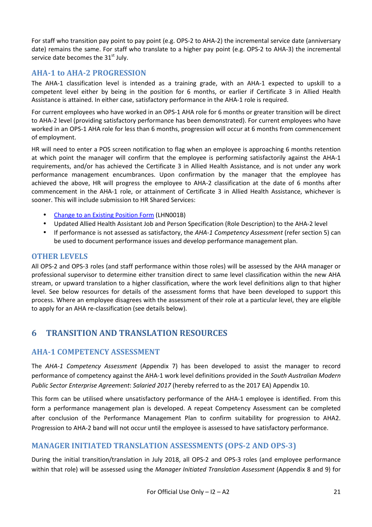For staff who transition pay point to pay point (e.g. OPS-2 to AHA-2) the incremental service date (anniversary date) remains the same. For staff who translate to a higher pay point (e.g. OPS-2 to AHA-3) the incremental service date becomes the  $31<sup>st</sup>$  July.

#### **AHA-1 to AHA-2 PROGRESSION**

The AHA-1 classification level is intended as a training grade, with an AHA-1 expected to upskill to a competent level either by being in the position for 6 months, or earlier if Certificate 3 in Allied Health Assistance is attained. In either case, satisfactory performance in the AHA-1 role is required.

For current employees who have worked in an OPS-1 AHA role for 6 months or greater transition will be direct to AHA-2 level (providing satisfactory performance has been demonstrated). For current employees who have worked in an OPS-1 AHA role for less than 6 months, progression will occur at 6 months from commencement of employment.

HR will need to enter a POS screen notification to flag when an employee is approaching 6 months retention at which point the manager will confirm that the employee is performing satisfactorily against the AHA-1 requirements, and/or has achieved the Certificate 3 in Allied Health Assistance, and is not under any work performance management encumbrances. Upon confirmation by the manager that the employee has achieved the above, HR will progress the employee to AHA-2 classification at the date of 6 months after commencement in the AHA-1 role, or attainment of Certificate 3 in Allied Health Assistance, whichever is sooner. This will include submission to HR Shared Services:

- Change to an Existing Position Form (LHN001B)
- Updated Allied Health Assistant Job and Person Specification (Role Description) to the AHA-2 level
- If performance is not assessed as satisfactory, the *AHA-1 Competency Assessment* (refer section 5) can be used to document performance issues and develop performance management plan.

#### **OTHER LEVELS**

All OPS-2 and OPS-3 roles (and staff performance within those roles) will be assessed by the AHA manager or professional supervisor to determine either transition direct to same level classification within the new AHA stream, or upward translation to a higher classification, where the work level definitions align to that higher level. See below resources for details of the assessment forms that have been developed to support this process. Where an employee disagrees with the assessment of their role at a particular level, they are eligible to apply for an AHA re-classification (see details below).

## **6 TRANSITION AND TRANSLATION RESOURCES**

#### **AHA-1 COMPETENCY ASSESSMENT**

The *AHA-1 Competency Assessment* (Appendix 7) has been developed to assist the manager to record performance of competency against the AHA-1 work level definitions provided in the *South Australian Modern Public Sector Enterprise Agreement*: *Salaried 2017* (hereby referred to as the 2017 EA) Appendix 10.

This form can be utilised where unsatisfactory performance of the AHA-1 employee is identified. From this form a performance management plan is developed. A repeat Competency Assessment can be completed after conclusion of the Performance Management Plan to confirm suitability for progression to AHA2. Progression to AHA-2 band will not occur until the employee is assessed to have satisfactory performance.

## **MANAGER INITIATED TRANSLATION ASSESSMENTS (OPS-2 AND OPS-3)**

During the initial transition/translation in July 2018, all OPS-2 and OPS-3 roles (and employee performance within that role) will be assessed using the *Manager Initiated Translation Assessment* (Appendix 8 and 9) for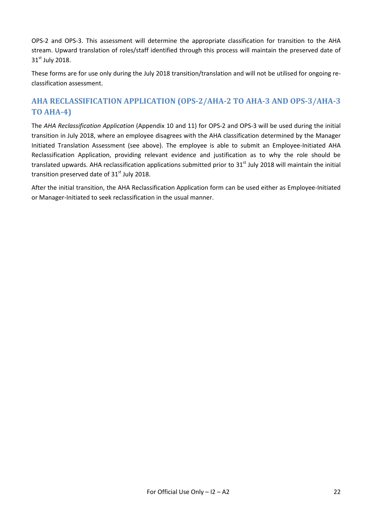OPS-2 and OPS-3. This assessment will determine the appropriate classification for transition to the AHA stream. Upward translation of roles/staff identified through this process will maintain the preserved date of 31<sup>st</sup> July 2018.

These forms are for use only during the July 2018 transition/translation and will not be utilised for ongoing reclassification assessment.

# **AHA RECLASSIFICATION APPLICATION (OPS-2/AHA-2 TO AHA-3 AND OPS-3/AHA-3 TO AHA-4)**

The *AHA Reclassification Application* (Appendix 10 and 11) for OPS-2 and OPS-3 will be used during the initial transition in July 2018, where an employee disagrees with the AHA classification determined by the Manager Initiated Translation Assessment (see above). The employee is able to submit an Employee-Initiated AHA Reclassification Application, providing relevant evidence and justification as to why the role should be translated upwards. AHA reclassification applications submitted prior to  $31<sup>st</sup>$  July 2018 will maintain the initial transition preserved date of  $31<sup>st</sup>$  July 2018.

After the initial transition, the AHA Reclassification Application form can be used either as Employee-Initiated or Manager-Initiated to seek reclassification in the usual manner.